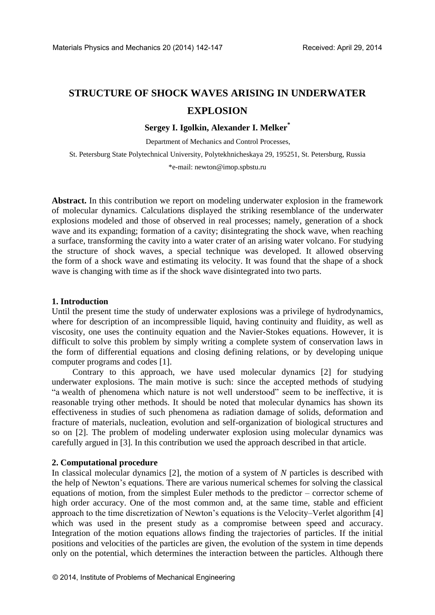# **STRUCTURE OF SHOCK WAVES ARISING IN UNDERWATER EXPLOSION**

**Sergey I. Igolkin, Alexander I. Melker\*** 

Department of Mechanics and Control Processes,

St. Petersburg State Polytechnical University, Polytekhnicheskaya 29, 195251, St. Petersburg, Russia

\*e-mail: newton@imop.spbstu.ru

**Abstract.** In this contribution we report on modeling underwater explosion in the framework of molecular dynamics. Calculations displayed the striking resemblance of the underwater explosions modeled and those of observed in real processes; namely, generation of a shock wave and its expanding; formation of a cavity; disintegrating the shock wave, when reaching a surface, transforming the cavity into a water crater of an arising water volcano. For studying the structure of shock waves, a special technique was developed. It allowed observing the form of a shock wave and estimating its velocity. It was found that the shape of a shock wave is changing with time as if the shock wave disintegrated into two parts.

### **1. Introduction**

Until the present time the study of underwater explosions was a privilege of hydrodynamics, where for description of an incompressible liquid, having continuity and fluidity, as well as viscosity, one uses the continuity equation and the Navier-Stokes equations. However, it is difficult to solve this problem by simply writing a complete system of conservation laws in the form of differential equations and closing defining relations, or by developing unique computer programs and codes [1].

Contrary to this approach, we have used molecular dynamics [2] for studying underwater explosions. The main motive is such: since the accepted methods of studying "a wealth of phenomena which nature is not well understood" seem to be ineffective, it is reasonable trying other methods. It should be noted that molecular dynamics has shown its effectiveness in studies of such phenomena as radiation damage of solids, deformation and fracture of materials, nucleation, evolution and self-organization of biological structures and so on [2]. The problem of modeling underwater explosion using molecular dynamics was carefully argued in [3]. In this contribution we used the approach described in that article.

## **2. Computational procedure**

In classical molecular dynamics [2], the motion of a system of *N* particles is described with the help of Newton's equations. There are various numerical schemes for solving the classical equations of motion, from the simplest Euler methods to the predictor – corrector scheme of high order accuracy. One of the most common and, at the same time, stable and efficient approach to the time discretization of Newton's equations is the Velocity–Verlet algorithm [4] which was used in the present study as a compromise between speed and accuracy. Integration of the motion equations allows finding the trajectories of particles. If the initial positions and velocities of the particles are given, the evolution of the system in time depends only on the potential, which determines the interaction between the particles. Although there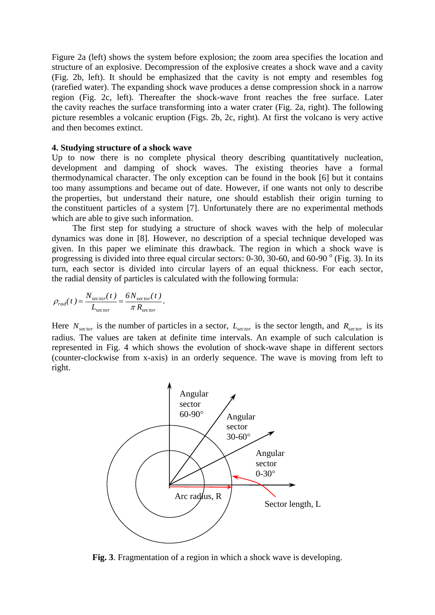Figure 2a (left) shows the system before explosion; the zoom area specifies the location and structure of an explosive. Decompression of the explosive creates a shock wave and a cavity (Fig. 2b, left). It should be emphasized that the cavity is not empty and resembles fog (rarefied water). The expanding shock wave produces a dense compression shock in a narrow region (Fig. 2c, left). Thereafter the shock-wave front reaches the free surface. Later the cavity reaches the surface transforming into a water crater (Fig. 2a, right). The following picture resembles a volcanic eruption (Figs. 2b, 2c, right). At first the volcano is very active and then becomes extinct.

### **4. Studying structure of a shock wave**

Up to now there is no complete physical theory describing quantitatively nucleation, development and damping of shock waves. The existing theories have a formal thermodynamical character. The only exception can be found in the book [6] but it contains too many assumptions and became out of date. However, if one wants not only to describe the properties, but understand their nature, one should establish their origin turning to the constituent particles of a system [7]. Unfortunately there are no experimental methods which are able to give such information.

The first step for studying a structure of shock waves with the help of molecular dynamics was done in [8]. However, no description of a special technique developed was given. In this paper we eliminate this drawback. The region in which a shock wave is progressing is divided into three equal circular sectors:  $0-30$ ,  $30-60$ , and  $60-90^\circ$  (Fig. 3). In its turn, each sector is divided into circular layers of an equal thickness. For each sector, the radial density of particles is calculated with the following formula:

$$
\rho_{rad}(t) = \frac{N_{sector}(t)}{L_{sector}} = \frac{6N_{sector}(t)}{\pi R_{sector}}.
$$

Here  $N_{sector}$  is the number of particles in a sector,  $L_{sector}$  is the sector length, and  $R_{sector}$  is its radius. The values are taken at definite time intervals. An example of such calculation is represented in Fig. 4 which shows the evolution of shock-wave shape in different sectors (counter-clockwise from x-axis) in an orderly sequence. The wave is moving from left to right.



**Fig. 3**. Fragmentation of a region in which a shock wave is developing.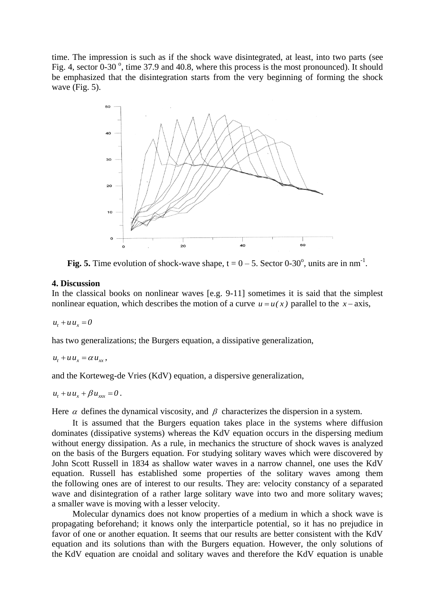time. The impression is such as if the shock wave disintegrated, at least, into two parts (see Fig. 4, sector  $0-30^\circ$ , time 37.9 and 40.8, where this process is the most pronounced). It should be emphasized that the disintegration starts from the very beginning of forming the shock wave (Fig. 5).



Fig. 5. Time evolution of shock-wave shape,  $t = 0 - 5$ . Sector 0-30<sup>o</sup>, units are in nm<sup>-1</sup>.

## **4. Discussion**

In the classical books on nonlinear waves [e.g. 9-11] sometimes it is said that the simplest nonlinear equation, which describes the motion of a curve  $u = u(x)$  parallel to the  $x - axis$ ,

 $u_t + u u_x = 0$ 

has two generalizations; the Burgers equation, a dissipative generalization,

 $u_t + u u_x = \alpha u_{xx}$ ,

and the Korteweg-de Vries (KdV) equation, a dispersive generalization,

 $u_t + u u_x + \beta u_{xxx} = 0$ .

Here  $\alpha$  defines the dynamical viscosity, and  $\beta$  characterizes the dispersion in a system.

It is assumed that the Burgers equation takes place in the systems where diffusion dominates (dissipative systems) whereas the KdV equation occurs in the dispersing medium without energy dissipation. As a rule, in mechanics the structure of shock waves is analyzed on the basis of the Burgers equation. For studying solitary waves which were discovered by John Scott Russell in 1834 as shallow water waves in a narrow channel, one uses the KdV equation. Russell has established some properties of the solitary waves among them the following ones are of interest to our results. They are: velocity constancy of a separated wave and disintegration of a rather large solitary wave into two and more solitary waves; a smaller wave is moving with a lesser velocity.

Molecular dynamics does not know properties of a medium in which a shock wave is propagating beforehand; it knows only the interparticle potential, so it has no prejudice in favor of one or another equation. It seems that our results are better consistent with the KdV equation and its solutions than with the Burgers equation. However, the only solutions of the KdV equation are cnoidal and solitary waves and therefore the KdV equation is unable